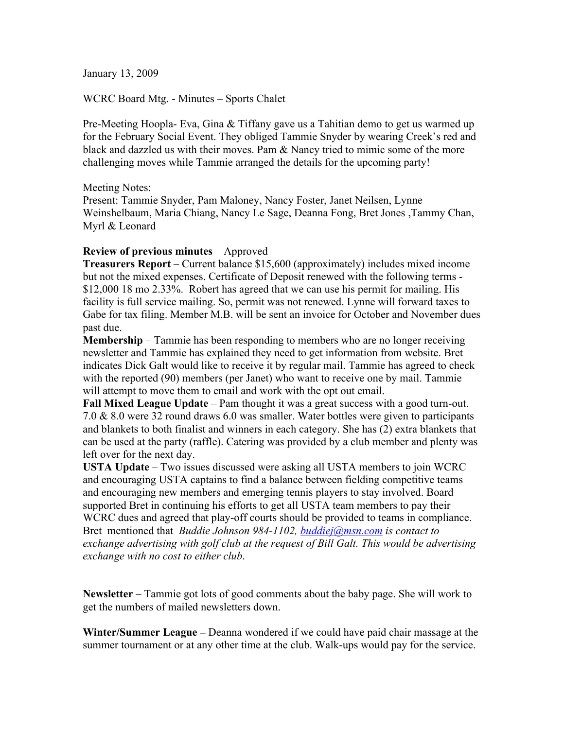January 13, 2009

WCRC Board Mtg. - Minutes – Sports Chalet

Pre-Meeting Hoopla- Eva, Gina & Tiffany gave us a Tahitian demo to get us warmed up for the February Social Event. They obliged Tammie Snyder by wearing Creek's red and black and dazzled us with their moves. Pam & Nancy tried to mimic some of the more challenging moves while Tammie arranged the details for the upcoming party!

Meeting Notes:

Present: Tammie Snyder, Pam Maloney, Nancy Foster, Janet Neilsen, Lynne Weinshelbaum, Maria Chiang, Nancy Le Sage, Deanna Fong, Bret Jones ,Tammy Chan, Myrl & Leonard

### **Review of previous minutes** – Approved

**Treasurers Report** – Current balance \$15,600 (approximately) includes mixed income but not the mixed expenses. Certificate of Deposit renewed with the following terms - \$12,000 18 mo 2.33%. Robert has agreed that we can use his permit for mailing. His facility is full service mailing. So, permit was not renewed. Lynne will forward taxes to Gabe for tax filing. Member M.B. will be sent an invoice for October and November dues past due.

**Membership** – Tammie has been responding to members who are no longer receiving newsletter and Tammie has explained they need to get information from website. Bret indicates Dick Galt would like to receive it by regular mail. Tammie has agreed to check with the reported (90) members (per Janet) who want to receive one by mail. Tammie will attempt to move them to email and work with the opt out email.

**Fall Mixed League Update** – Pam thought it was a great success with a good turn-out. 7.0  $\&$  8.0 were 32 round draws 6.0 was smaller. Water bottles were given to participants and blankets to both finalist and winners in each category. She has (2) extra blankets that can be used at the party (raffle). Catering was provided by a club member and plenty was left over for the next day.

**USTA Update** – Two issues discussed were asking all USTA members to join WCRC and encouraging USTA captains to find a balance between fielding competitive teams and encouraging new members and emerging tennis players to stay involved. Board supported Bret in continuing his efforts to get all USTA team members to pay their WCRC dues and agreed that play-off courts should be provided to teams in compliance. Bret mentioned that *Buddie Johnson 984-1102, buddiej@msn.com is contact to exchange advertising with golf club at the request of Bill Galt. This would be advertising exchange with no cost to either club*.

**Newsletter** – Tammie got lots of good comments about the baby page. She will work to get the numbers of mailed newsletters down.

**Winter/Summer League –** Deanna wondered if we could have paid chair massage at the summer tournament or at any other time at the club. Walk-ups would pay for the service.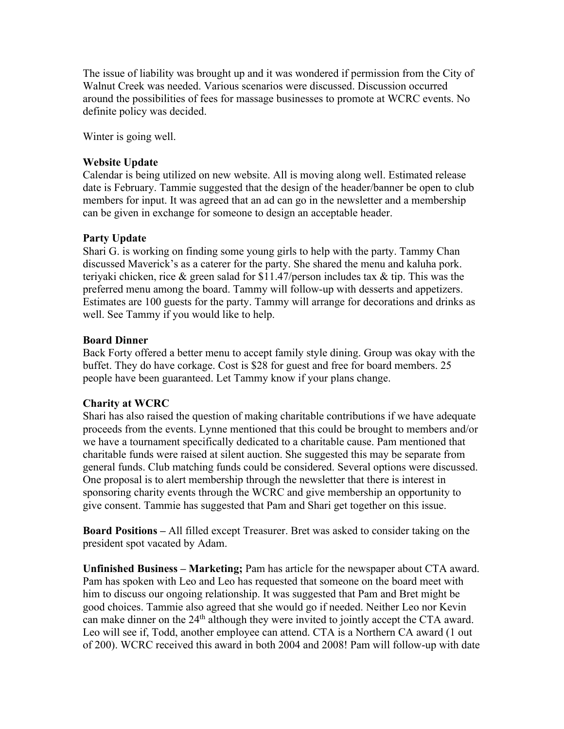The issue of liability was brought up and it was wondered if permission from the City of Walnut Creek was needed. Various scenarios were discussed. Discussion occurred around the possibilities of fees for massage businesses to promote at WCRC events. No definite policy was decided.

Winter is going well.

## **Website Update**

Calendar is being utilized on new website. All is moving along well. Estimated release date is February. Tammie suggested that the design of the header/banner be open to club members for input. It was agreed that an ad can go in the newsletter and a membership can be given in exchange for someone to design an acceptable header.

# **Party Update**

Shari G. is working on finding some young girls to help with the party. Tammy Chan discussed Maverick's as a caterer for the party. She shared the menu and kaluha pork. teriyaki chicken, rice & green salad for \$11.47/person includes tax & tip. This was the preferred menu among the board. Tammy will follow-up with desserts and appetizers. Estimates are 100 guests for the party. Tammy will arrange for decorations and drinks as well. See Tammy if you would like to help.

### **Board Dinner**

Back Forty offered a better menu to accept family style dining. Group was okay with the buffet. They do have corkage. Cost is \$28 for guest and free for board members. 25 people have been guaranteed. Let Tammy know if your plans change.

### **Charity at WCRC**

Shari has also raised the question of making charitable contributions if we have adequate proceeds from the events. Lynne mentioned that this could be brought to members and/or we have a tournament specifically dedicated to a charitable cause. Pam mentioned that charitable funds were raised at silent auction. She suggested this may be separate from general funds. Club matching funds could be considered. Several options were discussed. One proposal is to alert membership through the newsletter that there is interest in sponsoring charity events through the WCRC and give membership an opportunity to give consent. Tammie has suggested that Pam and Shari get together on this issue.

**Board Positions –** All filled except Treasurer. Bret was asked to consider taking on the president spot vacated by Adam.

**Unfinished Business – Marketing;** Pam has article for the newspaper about CTA award. Pam has spoken with Leo and Leo has requested that someone on the board meet with him to discuss our ongoing relationship. It was suggested that Pam and Bret might be good choices. Tammie also agreed that she would go if needed. Neither Leo nor Kevin can make dinner on the  $24<sup>th</sup>$  although they were invited to jointly accept the CTA award. Leo will see if, Todd, another employee can attend. CTA is a Northern CA award (1 out of 200). WCRC received this award in both 2004 and 2008! Pam will follow-up with date